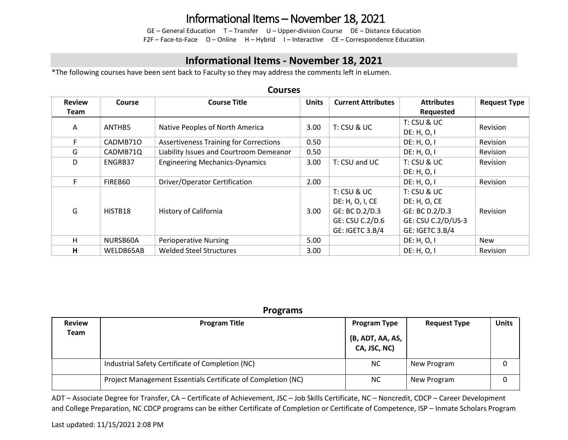## Informational Items – November 18, 2021

GE – General Education T – Transfer U – Upper-division Course DE – Distance Education F2F – Face-to-Face O – Online H – Hybrid I – Interactive CE – Correspondence Education

### **Informational Items - November 18, 2021**

\*The following courses have been sent back to Faculty so they may address the comments left in eLumen.

#### **Courses Review Team Course Course Title Units Current Attributes Attributes Requested Request Type** A ANTHES Native Peoples of North America 3.00 T: CSU & UC T: CSU & UC  $DE: H, O, I$  Revision F CADMB710 Assertiveness Training for Corrections 0.50 DE: H, O, I Revision G CADMB71Q Liability Issues and Courtroom Demeanor 0.50 DE: H, O, I Revision D | ENGRB37 | Engineering Mechanics-Dynamics | 3.00 | T: CSU and UC | T: CSU & UC DE: H, O, I Revision F FIREB60 Driver/Operator Certification 2.00 DE: H, O, I Revision G | HISTB18 | History of California | 3.00 T: CSU & UC DE: H, O, I, CE GE: BC D.2/D.3 GE: CSU C.2/D.6 GE: IGETC 3.B/4 T: CSU & UC DE: H, O, CE GE: BC D.2/D.3 GE: CSU C.2/D/US-3 GE: IGETC 3.B/4 Revision H NURSB60A Perioperative Nursing 1990 SON SON DE: H, O, I New **H** WELDB65AB Welded Steel Structures 3.00 3.00 DE: H, O, I Revision

| <b>Programs</b>       |                                                              |                                                         |                     |              |  |  |  |
|-----------------------|--------------------------------------------------------------|---------------------------------------------------------|---------------------|--------------|--|--|--|
| <b>Review</b><br>Team | <b>Program Title</b>                                         | <b>Program Type</b><br>(B, ADT, AA, AS,<br>CA, JSC, NC) | <b>Request Type</b> | <b>Units</b> |  |  |  |
|                       | Industrial Safety Certificate of Completion (NC)             | <b>NC</b>                                               | New Program         |              |  |  |  |
|                       | Project Management Essentials Certificate of Completion (NC) | <b>NC</b>                                               | New Program         |              |  |  |  |

ADT – Associate Degree for Transfer, CA – Certificate of Achievement, JSC – Job Skills Certificate, NC – Noncredit, CDCP – Career Development and College Preparation, NC CDCP programs can be either Certificate of Completion or Certificate of Competence, ISP – Inmate Scholars Program

### Last updated: 11/15/2021 2:08 PM